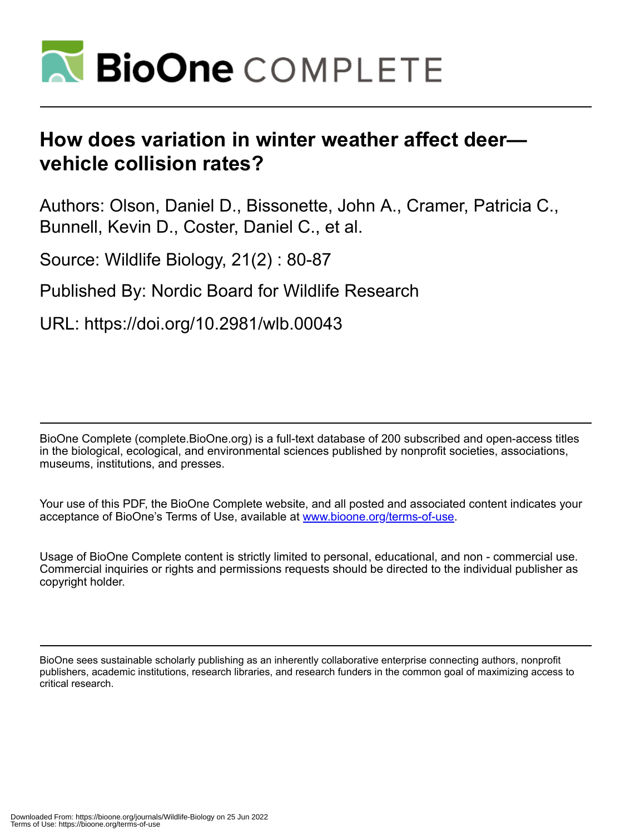

# **How does variation in winter weather affect deer vehicle collision rates?**

Authors: Olson, Daniel D., Bissonette, John A., Cramer, Patricia C., Bunnell, Kevin D., Coster, Daniel C., et al.

Source: Wildlife Biology, 21(2) : 80-87

Published By: Nordic Board for Wildlife Research

URL: https://doi.org/10.2981/wlb.00043

BioOne Complete (complete.BioOne.org) is a full-text database of 200 subscribed and open-access titles in the biological, ecological, and environmental sciences published by nonprofit societies, associations, museums, institutions, and presses.

Your use of this PDF, the BioOne Complete website, and all posted and associated content indicates your acceptance of BioOne's Terms of Use, available at www.bioone.org/terms-of-use.

Usage of BioOne Complete content is strictly limited to personal, educational, and non - commercial use. Commercial inquiries or rights and permissions requests should be directed to the individual publisher as copyright holder.

BioOne sees sustainable scholarly publishing as an inherently collaborative enterprise connecting authors, nonprofit publishers, academic institutions, research libraries, and research funders in the common goal of maximizing access to critical research.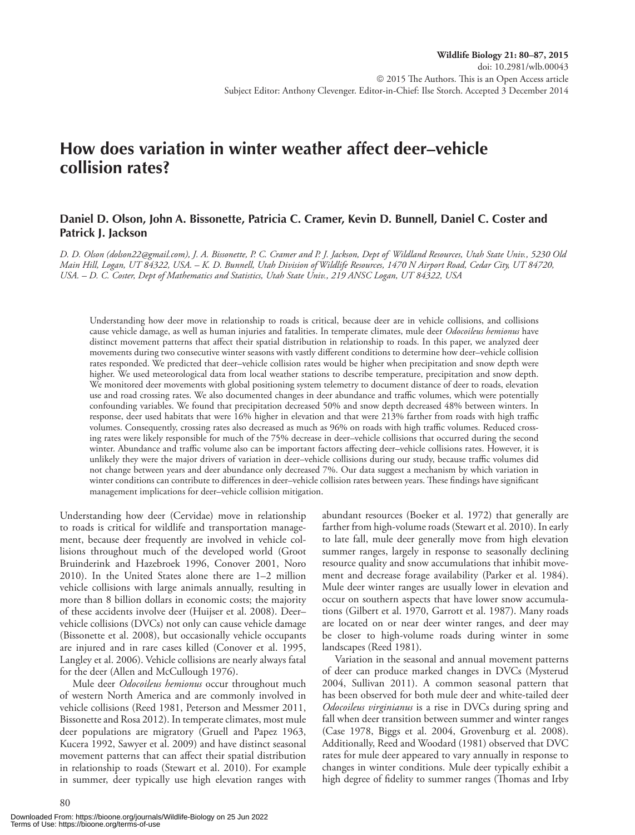# **How does variation in winter weather affect deer-vehicle collision rates?**

# Daniel D. Olson, John A. Bissonette, Patricia C. Cramer, Kevin D. Bunnell, Daniel C. Coster and **Patrick J. Jackson**

 *D. D. Olson (dolson22@gmail.com), J. A. Bissonette, P. C. Cramer and P. J. Jackson, Dept of Wildland Resources, Utah State Univ., 5230 Old Main Hill, Logan, UT 84322, USA. – K. D. Bunnell, Utah Division of Wildlife Resources, 1470 N Airport Road, Cedar City, UT 84720, USA. – D. C. Coster, Dept of Mathematics and Statistics, Utah State Univ., 219 ANSC Logan, UT 84322, USA* 

 Understanding how deer move in relationship to roads is critical, because deer are in vehicle collisions, and collisions cause vehicle damage, as well as human injuries and fatalities. In temperate climates, mule deer *Odocoileus hemionus* have distinct movement patterns that affect their spatial distribution in relationship to roads. In this paper, we analyzed deer movements during two consecutive winter seasons with vastly different conditions to determine how deer-vehicle collision rates responded. We predicted that deer – vehicle collision rates would be higher when precipitation and snow depth were higher. We used meteorological data from local weather stations to describe temperature, precipitation and snow depth. We monitored deer movements with global positioning system telemetry to document distance of deer to roads, elevation use and road crossing rates. We also documented changes in deer abundance and traffic volumes, which were potentially confounding variables. We found that precipitation decreased 50% and snow depth decreased 48% between winters. In response, deer used habitats that were 16% higher in elevation and that were 213% farther from roads with high traffic volumes. Consequently, crossing rates also decreased as much as 96% on roads with high traffic volumes. Reduced crossing rates were likely responsible for much of the 75% decrease in deer – vehicle collisions that occurred during the second winter. Abundance and traffic volume also can be important factors affecting deer-vehicle collisions rates. However, it is unlikely they were the major drivers of variation in deer-vehicle collisions during our study, because traffic volumes did not change between years and deer abundance only decreased 7%. Our data suggest a mechanism by which variation in winter conditions can contribute to differences in deer-vehicle collision rates between years. These findings have significant management implications for deer – vehicle collision mitigation.

 Understanding how deer (Cervidae) move in relationship to roads is critical for wildlife and transportation management, because deer frequently are involved in vehicle collisions throughout much of the developed world (Groot Bruinderink and Hazebroek 1996, Conover 2001, Noro 2010). In the United States alone there are  $1-2$  million vehicle collisions with large animals annually, resulting in more than 8 billion dollars in economic costs; the majority of these accidents involve deer (Huijser et al. 2008). Deer – vehicle collisions (DVCs) not only can cause vehicle damage (Bissonette et al. 2008), but occasionally vehicle occupants are injured and in rare cases killed (Conover et al. 1995, Langley et al. 2006). Vehicle collisions are nearly always fatal for the deer (Allen and McCullough 1976).

 Mule deer *Odocoileus hemionus* occur throughout much of western North America and are commonly involved in vehicle collisions (Reed 1981, Peterson and Messmer 2011, Bissonette and Rosa 2012). In temperate climates, most mule deer populations are migratory (Gruell and Papez 1963, Kucera 1992, Sawyer et al. 2009) and have distinct seasonal movement patterns that can affect their spatial distribution in relationship to roads (Stewart et al. 2010). For example in summer, deer typically use high elevation ranges with abundant resources (Boeker et al. 1972) that generally are farther from high-volume roads (Stewart et al. 2010). In early to late fall, mule deer generally move from high elevation summer ranges, largely in response to seasonally declining resource quality and snow accumulations that inhibit movement and decrease forage availability (Parker et al. 1984). Mule deer winter ranges are usually lower in elevation and occur on southern aspects that have lower snow accumulations (Gilbert et al. 1970, Garrott et al. 1987). Many roads are located on or near deer winter ranges, and deer may be closer to high-volume roads during winter in some landscapes (Reed 1981).

 Variation in the seasonal and annual movement patterns of deer can produce marked changes in DVCs (Mysterud 2004, Sullivan 2011). A common seasonal pattern that has been observed for both mule deer and white-tailed deer *Odocoileus virginianus* is a rise in DVCs during spring and fall when deer transition between summer and winter ranges (Case 1978, Biggs et al. 2004, Grovenburg et al. 2008). Additionally, Reed and Woodard (1981) observed that DVC rates for mule deer appeared to vary annually in response to changes in winter conditions. Mule deer typically exhibit a high degree of fidelity to summer ranges (Thomas and Irby

80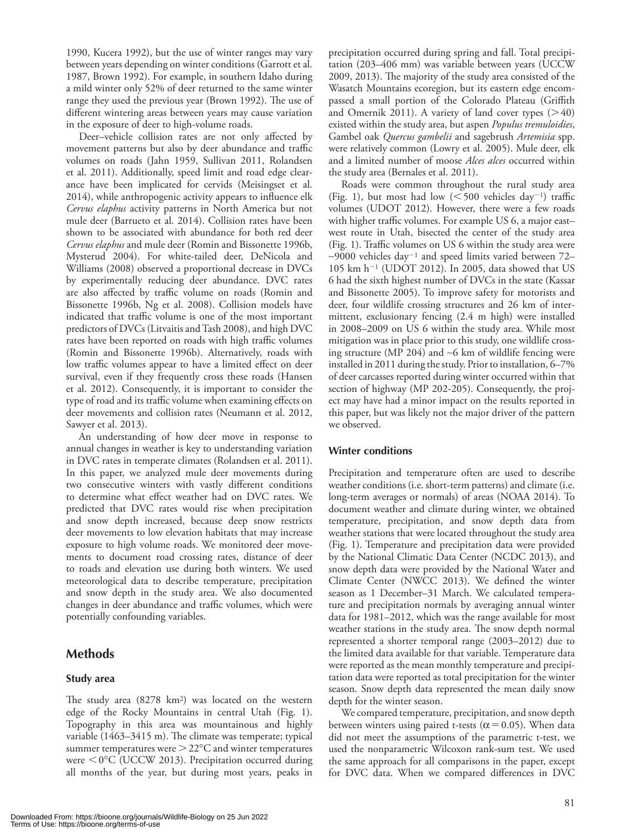1990, Kucera 1992), but the use of winter ranges may vary between years depending on winter conditions (Garrott et al. 1987, Brown 1992). For example, in southern Idaho during a mild winter only 52% of deer returned to the same winter range they used the previous year (Brown 1992). The use of different wintering areas between years may cause variation in the exposure of deer to high-volume roads.

Deer-vehicle collision rates are not only affected by movement patterns but also by deer abundance and traffic volumes on roads (Jahn 1959, Sullivan 2011, Rolandsen et al. 2011). Additionally, speed limit and road edge clearance have been implicated for cervids (Meisingset et al. 2014), while anthropogenic activity appears to influence elk *Cervus elaphus* activity patterns in North America but not mule deer (Barrueto et al. 2014). Collision rates have been shown to be associated with abundance for both red deer *Cervus elaphus* and mule deer (Romin and Bissonette 1996b, Mysterud 2004). For white-tailed deer, DeNicola and Williams (2008) observed a proportional decrease in DVCs by experimentally reducing deer abundance. DVC rates are also affected by traffic volume on roads (Romin and Bissonette 1996b, Ng et al. 2008). Collision models have indicated that traffic volume is one of the most important predictors of DVCs (Litvaitis and Tash 2008), and high DVC rates have been reported on roads with high traffic volumes (Romin and Bissonette 1996b). Alternatively, roads with low traffic volumes appear to have a limited effect on deer survival, even if they frequently cross these roads (Hansen et al. 2012). Consequently, it is important to consider the type of road and its traffic volume when examining effects on deer movements and collision rates (Neumann et al. 2012, Sawyer et al. 2013).

 An understanding of how deer move in response to annual changes in weather is key to understanding variation in DVC rates in temperate climates (Rolandsen et al. 2011). In this paper, we analyzed mule deer movements during two consecutive winters with vastly different conditions to determine what effect weather had on DVC rates. We predicted that DVC rates would rise when precipitation and snow depth increased, because deep snow restricts deer movements to low elevation habitats that may increase exposure to high volume roads. We monitored deer movements to document road crossing rates, distance of deer to roads and elevation use during both winters. We used meteorological data to describe temperature, precipitation and snow depth in the study area. We also documented changes in deer abundance and traffic volumes, which were potentially confounding variables.

# **Methods**

### **Study area**

The study area  $(8278 \text{ km}^2)$  was located on the western edge of the Rocky Mountains in central Utah (Fig. 1). Topography in this area was mountainous and highly variable  $(1463 - 3415 \text{ m})$ . The climate was temperate; typical summer temperatures were  $>$  22 $\rm ^{o}C$  and winter temperatures were  $<$  0 $\degree$ C (UCCW 2013). Precipitation occurred during all months of the year, but during most years, peaks in

precipitation occurred during spring and fall. Total precipitation (203-406 mm) was variable between years (UCCW 2009, 2013). The majority of the study area consisted of the Wasatch Mountains ecoregion, but its eastern edge encompassed a small portion of the Colorado Plateau (Griffith and Omernik 2011). A variety of land cover types  $(>40)$ existed within the study area, but aspen *Populus tremuloidies* , Gambel oak *Quercus gambelii* and sagebrush *Artemisia* spp. were relatively common (Lowry et al. 2005). Mule deer, elk and a limited number of moose *Alces alces* occurred within the study area (Bernales et al. 2011).

 Roads were common throughout the rural study area (Fig. 1), but most had low ( $\leq$  500 vehicles day<sup>-1</sup>) traffic volumes (UDOT 2012). However, there were a few roads with higher traffic volumes. For example US 6, a major east west route in Utah, bisected the center of the study area (Fig. 1). Traffic volumes on US  $6$  within the study area were  $~\sim$ 9000 vehicles day<sup>-1</sup> and speed limits varied between 72–  $105$  km h<sup>-1</sup> (UDOT 2012). In 2005, data showed that US 6 had the sixth highest number of DVCs in the state (Kassar and Bissonette 2005). To improve safety for motorists and deer, four wildlife crossing structures and 26 km of intermittent, exclusionary fencing (2.4 m high) were installed in 2008–2009 on US 6 within the study area. While most mitigation was in place prior to this study, one wildlife crossing structure (MP 204) and ∼ 6 km of wildlife fencing were installed in 2011 during the study. Prior to installation, 6-7% of deer carcasses reported during winter occurred within that section of highway (MP 202-205). Consequently, the project may have had a minor impact on the results reported in this paper, but was likely not the major driver of the pattern we observed.

### **Winter conditions**

 Precipitation and temperature often are used to describe weather conditions (i.e. short-term patterns) and climate (i.e. long-term averages or normals) of areas (NOAA 2014). To document weather and climate during winter, we obtained temperature, precipitation, and snow depth data from weather stations that were located throughout the study area (Fig. 1). Temperature and precipitation data were provided by the National Climatic Data Center (NCDC 2013), and snow depth data were provided by the National Water and Climate Center (NWCC 2013). We defined the winter season as 1 December-31 March. We calculated temperature and precipitation normals by averaging annual winter data for 1981–2012, which was the range available for most weather stations in the study area. The snow depth normal represented a shorter temporal range (2003-2012) due to the limited data available for that variable. Temperature data were reported as the mean monthly temperature and precipitation data were reported as total precipitation for the winter season. Snow depth data represented the mean daily snow depth for the winter season.

 We compared temperature, precipitation, and snow depth between winters using paired t-tests ( $\alpha$  = 0.05). When data did not meet the assumptions of the parametric t-test, we used the nonparametric Wilcoxon rank-sum test. We used the same approach for all comparisons in the paper, except for DVC data. When we compared differences in DVC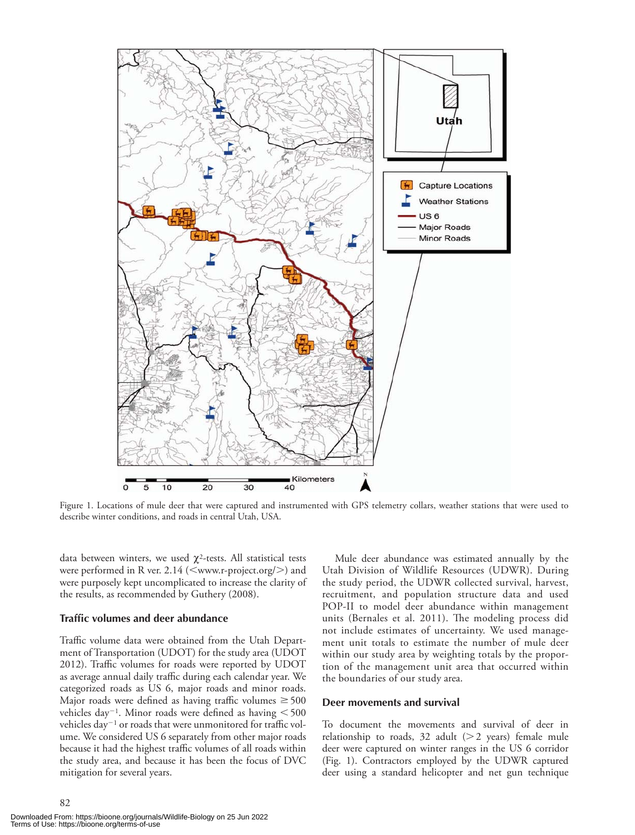

 Figure 1. Locations of mule deer that were captured and instrumented with GPS telemetry collars, weather stations that were used to describe winter conditions, and roads in central Utah, USA.

data between winters, we used  $\chi^2$ -tests. All statistical tests were performed in R ver. 2.14 (<www.r-project.org/>) and were purposely kept uncomplicated to increase the clarity of the results, as recommended by Guthery (2008).

#### **Traffic volumes and deer abundance**

Traffic volume data were obtained from the Utah Department of Transportation (UDOT) for the study area (UDOT 2012). Traffic volumes for roads were reported by UDOT as average annual daily traffic during each calendar year. We categorized roads as US 6, major roads and minor roads. Major roads were defined as having traffic volumes  $\geq 500$ vehicles day<sup>-1</sup>. Minor roads were defined as having  $\leq$  500 vehicles day<sup>-1</sup> or roads that were unmonitored for traffic volume. We considered US 6 separately from other major roads because it had the highest traffic volumes of all roads within the study area, and because it has been the focus of DVC mitigation for several years.

 Mule deer abundance was estimated annually by the Utah Division of Wildlife Resources (UDWR). During the study period, the UDWR collected survival, harvest, recruitment, and population structure data and used POP-II to model deer abundance within management units (Bernales et al. 2011). The modeling process did not include estimates of uncertainty. We used management unit totals to estimate the number of mule deer within our study area by weighting totals by the proportion of the management unit area that occurred within the boundaries of our study area.

#### **Deer movements and survival**

 To document the movements and survival of deer in relationship to roads, 32 adult  $(>= 2$  years) female mule deer were captured on winter ranges in the US 6 corridor (Fig. 1). Contractors employed by the UDWR captured deer using a standard helicopter and net gun technique

82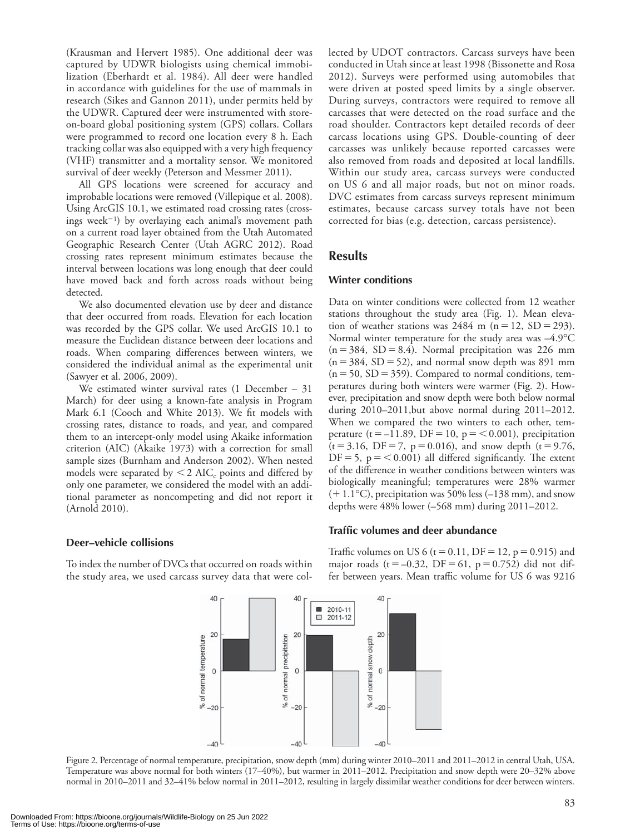(Krausman and Hervert 1985). One additional deer was captured by UDWR biologists using chemical immobilization (Eberhardt et al. 1984). All deer were handled in accordance with guidelines for the use of mammals in research (Sikes and Gannon 2011), under permits held by the UDWR. Captured deer were instrumented with storeon-board global positioning system (GPS) collars. Collars were programmed to record one location every 8 h. Each tracking collar was also equipped with a very high frequency (VHF) transmitter and a mortality sensor. We monitored survival of deer weekly (Peterson and Messmer 2011).

 All GPS locations were screened for accuracy and improbable locations were removed (Villepique et al. 2008). Using ArcGIS 10.1, we estimated road crossing rates (crossings week<sup> $-1$ </sup>) by overlaying each animal's movement path on a current road layer obtained from the Utah Automated Geographic Research Center (Utah AGRC 2012). Road crossing rates represent minimum estimates because the interval between locations was long enough that deer could have moved back and forth across roads without being detected.

 We also documented elevation use by deer and distance that deer occurred from roads. Elevation for each location was recorded by the GPS collar. We used ArcGIS 10.1 to measure the Euclidean distance between deer locations and roads. When comparing differences between winters, we considered the individual animal as the experimental unit (Sawyer et al. 2006, 2009).

 We estimated winter survival rates (1 December – 31 March) for deer using a known-fate analysis in Program Mark 6.1 (Cooch and White 2013). We fit models with crossing rates, distance to roads, and year, and compared them to an intercept-only model using Akaike information criterion (AIC) (Akaike 1973) with a correction for small sample sizes (Burnham and Anderson 2002). When nested models were separated by  $<$  2 AIC<sub>c</sub> points and differed by only one parameter, we considered the model with an additional parameter as noncompeting and did not report it (Arnold 2010).

lected by UDOT contractors. Carcass surveys have been conducted in Utah since at least 1998 (Bissonette and Rosa 2012). Surveys were performed using automobiles that were driven at posted speed limits by a single observer. During surveys, contractors were required to remove all carcasses that were detected on the road surface and the road shoulder. Contractors kept detailed records of deer carcass locations using GPS. Double-counting of deer carcasses was unlikely because reported carcasses were also removed from roads and deposited at local landfills. Within our study area, carcass surveys were conducted on US 6 and all major roads, but not on minor roads. DVC estimates from carcass surveys represent minimum estimates, because carcass survey totals have not been corrected for bias (e.g. detection, carcass persistence).

# **Results**

#### **Winter conditions**

 Data on winter conditions were collected from 12 weather stations throughout the study area (Fig. 1). Mean elevation of weather stations was  $2484$  m (n = 12, SD = 293). Normal winter temperature for the study area was  $-4.9^{\circ}$ C  $(n = 384, SD = 8.4)$ . Normal precipitation was 226 mm  $(n = 384, SD = 52)$ , and normal snow depth was 891 mm  $(n = 50, SD = 359)$ . Compared to normal conditions, temperatures during both winters were warmer (Fig. 2). However, precipitation and snow depth were both below normal during 2010-2011, but above normal during 2011-2012. When we compared the two winters to each other, temperature (t = -11.89, DF = 10, p = < 0.001), precipitation  $(t = 3.16, DF = 7, p = 0.016)$ , and snow depth  $(t = 9.76,$  $DF = 5$ ,  $p = < 0.001$ ) all differed significantly. The extent of the difference in weather conditions between winters was biologically meaningful; temperatures were 28% warmer  $(+ 1.1°C)$ , precipitation was 50% less  $(-138$  mm), and snow depths were  $48\%$  lower  $(-568 \text{ mm})$  during  $2011 - 2012$ .

#### **Deer – vehicle collisions**

 To index the number of DVCs that occurred on roads within the study area, we used carcass survey data that were colTraffic volumes on US 6 (t = 0.11, DF = 12, p = 0.915) and major roads (t = -0.32, DF = 61, p = 0.752) did not differ between years. Mean traffic volume for US 6 was 9216

**Traffic volumes and deer abundance** 

Figure 2. Percentage of normal temperature, precipitation, snow depth (mm) during winter 2010–2011 and 2011-2012 in central Utah, USA. Temperature was above normal for both winters (17–40%), but warmer in 2011–2012. Precipitation and snow depth were 20–32% above normal in 2010 – 2011 and 32 – 41% below normal in 2011 – 2012, resulting in largely dissimilar weather conditions for deer between winters.

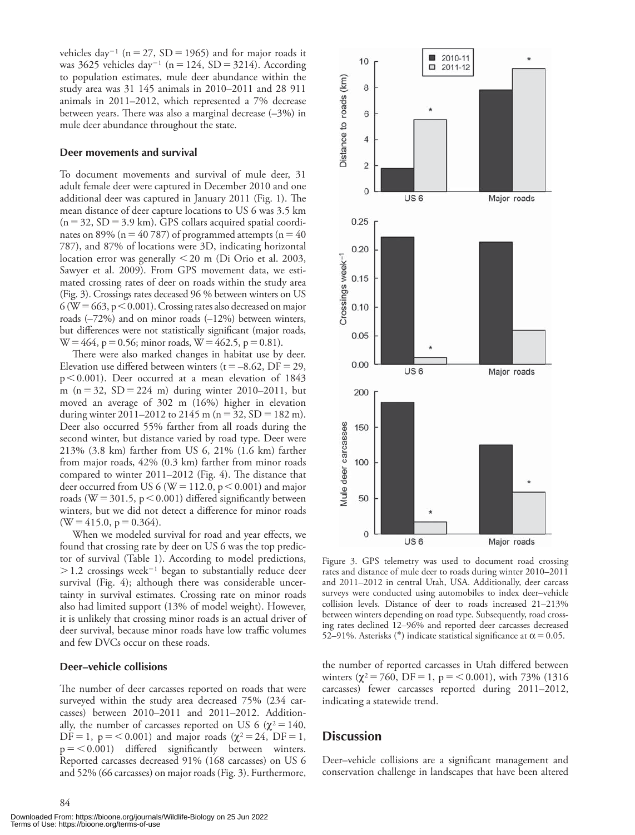vehicles day<sup>-1</sup> ( $n = 27$ , SD = 1965) and for major roads it was 3625 vehicles day<sup>-1</sup> (n = 124, SD = 3214). According to population estimates, mule deer abundance within the study area was 31 145 animals in 2010-2011 and 28 911 animals in 2011-2012, which represented a 7% decrease between years. There was also a marginal decrease  $(-3%)$  in mule deer abundance throughout the state.

#### **Deer movements and survival**

 To document movements and survival of mule deer, 31 adult female deer were captured in December 2010 and one additional deer was captured in January 2011 (Fig. 1). The mean distance of deer capture locations to US 6 was 3.5 km  $(n = 32, SD = 3.9$  km). GPS collars acquired spatial coordinates on 89% (n = 40 787) of programmed attempts (n = 40 787), and 87% of locations were 3D, indicating horizontal location error was generally  $\leq 20$  m (Di Orio et al. 2003, Sawyer et al. 2009). From GPS movement data, we estimated crossing rates of deer on roads within the study area (Fig. 3). Crossings rates deceased 96 % between winters on US  $6$  (W = 663, p < 0.001). Crossing rates also decreased on major roads  $(-72%)$  and on minor roads  $(-12%)$  between winters, but differences were not statistically significant (major roads,  $W = 464$ , p = 0.56; minor roads,  $W = 462.5$ , p = 0.81).

There were also marked changes in habitat use by deer. Elevation use differed between winters ( $t = -8.62$ , DF = 29,  $p < 0.001$ ). Deer occurred at a mean elevation of 1843 m ( $n = 32$ , SD = 224 m) during winter 2010–2011, but moved an average of 302 m (16%) higher in elevation during winter 2011–2012 to 2145 m (n = 32, SD = 182 m). Deer also occurred 55% farther from all roads during the second winter, but distance varied by road type. Deer were 213% (3.8 km) farther from US 6, 21% (1.6 km) farther from major roads, 42% (0.3 km) farther from minor roads compared to winter  $2011-2012$  (Fig. 4). The distance that deer occurred from US 6 ( $W = 112.0$ ,  $p < 0.001$ ) and major roads (W = 301.5,  $p < 0.001$ ) differed significantly between winters, but we did not detect a difference for minor roads  $(W = 415.0, p = 0.364).$ 

When we modeled survival for road and year effects, we found that crossing rate by deer on US 6 was the top predictor of survival (Table 1). According to model predictions,  $>$  1.2 crossings week<sup>-1</sup> began to substantially reduce deer survival (Fig. 4); although there was considerable uncertainty in survival estimates. Crossing rate on minor roads also had limited support (13% of model weight). However, it is unlikely that crossing minor roads is an actual driver of deer survival, because minor roads have low traffic volumes and few DVCs occur on these roads.

#### **Deer – vehicle collisions**

84

The number of deer carcasses reported on roads that were surveyed within the study area decreased 75% (234 carcasses) between  $2010-2011$  and  $2011-2012$ . Additionally, the number of carcasses reported on US 6 ( $\chi^2$  = 140,  $DF = 1$ ,  $p = < 0.001$ ) and major roads ( $\chi^2 = 24$ ,  $DF = 1$ ,  $p = < 0.001$ ) differed significantly between winters. Reported carcasses decreased 91% (168 carcasses) on US 6 and 52% (66 carcasses) on major roads (Fig. 3). Furthermore,



 $\blacksquare$ 

 $10$ 

2010-11

rates and distance of mule deer to roads during winter 2010–2011 and 2011-2012 in central Utah, USA. Additionally, deer carcass surveys were conducted using automobiles to index deer-vehicle collision levels. Distance of deer to roads increased 21-213% between winters depending on road type. Subsequently, road crossing rates declined 12-96% and reported deer carcasses decreased 52–91%. Asterisks (\*) indicate statistical significance at  $\alpha$  = 0.05.

the number of reported carcasses in Utah differed between winters ( $\chi^2$  = 760, DF = 1, p = < 0.001), with 73% (1316 carcasses) fewer carcasses reported during 2011-2012, indicating a statewide trend.

# **Discussion**

Deer-vehicle collisions are a significant management and conservation challenge in landscapes that have been altered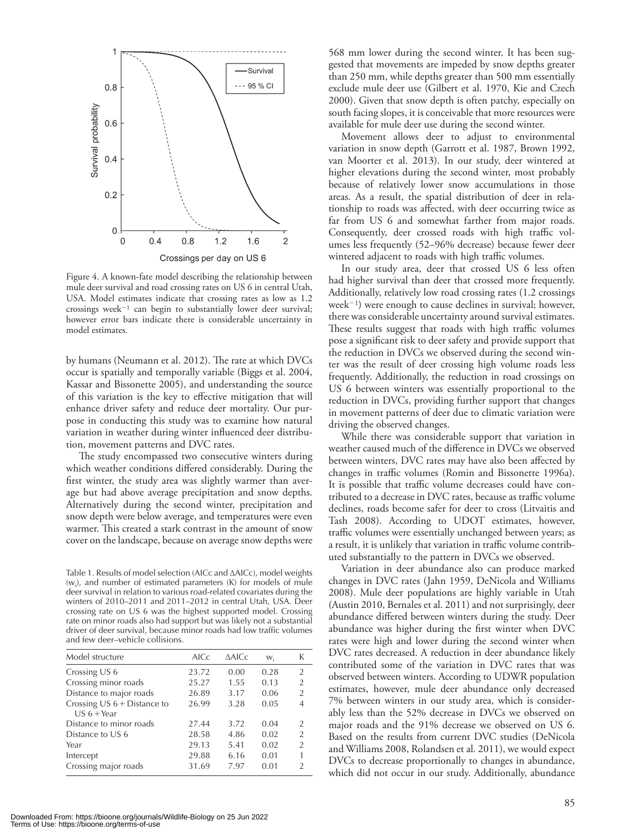

 Figure 4. A known-fate model describing the relationship between mule deer survival and road crossing rates on US 6 in central Utah, USA. Model estimates indicate that crossing rates as low as 1.2 crossings week<sup>-1</sup> can begin to substantially lower deer survival; however error bars indicate there is considerable uncertainty in model estimates.

by humans (Neumann et al. 2012). The rate at which DVCs occur is spatially and temporally variable (Biggs et al. 2004, Kassar and Bissonette 2005), and understanding the source of this variation is the key to effective mitigation that will enhance driver safety and reduce deer mortality. Our purpose in conducting this study was to examine how natural variation in weather during winter influenced deer distribution, movement patterns and DVC rates.

The study encompassed two consecutive winters during which weather conditions differed considerably. During the first winter, the study area was slightly warmer than average but had above average precipitation and snow depths. Alternatively during the second winter, precipitation and snow depth were below average, and temperatures were even warmer. This created a stark contrast in the amount of snow cover on the landscape, because on average snow depths were

Table 1. Results of model selection (AICc and ΔAICc), model weights  $(w_i)$ , and number of estimated parameters  $(K)$  for models of mule deer survival in relation to various road-related covariates during the winters of 2010-2011 and 2011-2012 in central Utah, USA. Deer crossing rate on US 6 was the highest supported model. Crossing rate on minor roads also had support but was likely not a substantial driver of deer survival, because minor roads had low traffic volumes and few deer-vehicle collisions.

| Model structure                                | <b>AICc</b> | <b>AAICc</b> | $W_i$ | К              |
|------------------------------------------------|-------------|--------------|-------|----------------|
| Crossing US 6                                  | 23.72       | 0.00         | 0.28  | $\overline{2}$ |
| Crossing minor roads                           | 25.27       | 1.55         | 0.13  | $\overline{2}$ |
| Distance to major roads                        | 26.89       | 3.17         | 0.06  | $\overline{2}$ |
| Crossing $US 6 + Distance to$<br>$US 6 + Year$ | 26.99       | 3.28         | 0.05  | 4              |
| Distance to minor roads                        | 27.44       | 3.72         | 0.04  | 2              |
| Distance to US 6                               | 28.58       | 4.86         | 0.02  | $\mathfrak{D}$ |
| Year                                           | 29.13       | 5.41         | 0.02  | $\overline{2}$ |
| Intercept                                      | 29.88       | 6.16         | 0.01  | 1              |
| Crossing major roads                           | 31.69       | 7.97         | 0.01  | 2              |

568 mm lower during the second winter. It has been suggested that movements are impeded by snow depths greater than 250 mm, while depths greater than 500 mm essentially exclude mule deer use (Gilbert et al. 1970, Kie and Czech 2000). Given that snow depth is often patchy, especially on south facing slopes, it is conceivable that more resources were available for mule deer use during the second winter.

 Movement allows deer to adjust to environmental variation in snow depth (Garrott et al. 1987, Brown 1992, van Moorter et al. 2013). In our study, deer wintered at higher elevations during the second winter, most probably because of relatively lower snow accumulations in those areas. As a result, the spatial distribution of deer in relationship to roads was affected, with deer occurring twice as far from US 6 and somewhat farther from major roads. Consequently, deer crossed roads with high traffic volumes less frequently (52–96% decrease) because fewer deer wintered adjacent to roads with high traffic volumes.

 In our study area, deer that crossed US 6 less often had higher survival than deer that crossed more frequently. Additionally, relatively low road crossing rates (1.2 crossings week $^{-1}$ ) were enough to cause declines in survival; however, there was considerable uncertainty around survival estimates. These results suggest that roads with high traffic volumes pose a significant risk to deer safety and provide support that the reduction in DVCs we observed during the second winter was the result of deer crossing high volume roads less frequently. Additionally, the reduction in road crossings on US 6 between winters was essentially proportional to the reduction in DVCs, providing further support that changes in movement patterns of deer due to climatic variation were driving the observed changes.

 While there was considerable support that variation in weather caused much of the difference in DVCs we observed between winters, DVC rates may have also been affected by changes in traffic volumes (Romin and Bissonette 1996a). It is possible that traffic volume decreases could have contributed to a decrease in DVC rates, because as traffic volume declines, roads become safer for deer to cross (Litvaitis and Tash 2008). According to UDOT estimates, however, traffic volumes were essentially unchanged between years; as a result, it is unlikely that variation in traffic volume contributed substantially to the pattern in DVCs we observed.

 Variation in deer abundance also can produce marked changes in DVC rates (Jahn 1959, DeNicola and Williams 2008). Mule deer populations are highly variable in Utah (Austin 2010, Bernales et al. 2011) and not surprisingly, deer abundance differed between winters during the study. Deer abundance was higher during the first winter when DVC rates were high and lower during the second winter when DVC rates decreased. A reduction in deer abundance likely contributed some of the variation in DVC rates that was observed between winters. According to UDWR population estimates, however, mule deer abundance only decreased 7% between winters in our study area, which is considerably less than the 52% decrease in DVCs we observed on major roads and the 91% decrease we observed on US 6. Based on the results from current DVC studies (DeNicola and Williams 2008, Rolandsen et al. 2011), we would expect DVCs to decrease proportionally to changes in abundance, which did not occur in our study. Additionally, abundance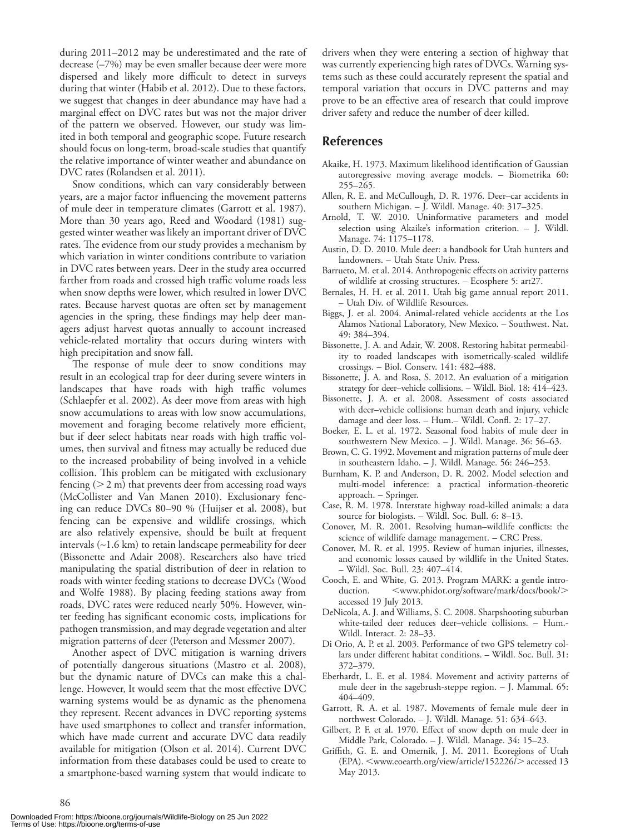during 2011-2012 may be underestimated and the rate of decrease (-7%) may be even smaller because deer were more dispersed and likely more difficult to detect in surveys during that winter (Habib et al. 2012). Due to these factors, we suggest that changes in deer abundance may have had a marginal effect on DVC rates but was not the major driver of the pattern we observed. However, our study was limited in both temporal and geographic scope. Future research should focus on long-term, broad-scale studies that quantify the relative importance of winter weather and abundance on DVC rates (Rolandsen et al. 2011). Snow conditions, which can vary considerably between

years, are a major factor influencing the movement patterns of mule deer in temperature climates (Garrott et al. 1987). More than 30 years ago, Reed and Woodard (1981) suggested winter weather was likely an important driver of DVC rates. The evidence from our study provides a mechanism by which variation in winter conditions contribute to variation in DVC rates between years. Deer in the study area occurred farther from roads and crossed high traffic volume roads less when snow depths were lower, which resulted in lower DVC rates. Because harvest quotas are often set by management agencies in the spring, these findings may help deer managers adjust harvest quotas annually to account increased vehicle-related mortality that occurs during winters with high precipitation and snow fall.

The response of mule deer to snow conditions may result in an ecological trap for deer during severe winters in landscapes that have roads with high traffic volumes (Schlaepfer et al. 2002). As deer move from areas with high snow accumulations to areas with low snow accumulations, movement and foraging become relatively more efficient, but if deer select habitats near roads with high traffic volumes, then survival and fitness may actually be reduced due to the increased probability of being involved in a vehicle collision. This problem can be mitigated with exclusionary fencing  $(> 2 \text{ m})$  that prevents deer from accessing road ways (McCollister and Van Manen 2010). Exclusionary fencing can reduce DVCs 80–90 % (Huijser et al. 2008), but fencing can be expensive and wildlife crossings, which are also relatively expensive, should be built at frequent intervals ( ∼ 1.6 km) to retain landscape permeability for deer (Bissonette and Adair 2008). Researchers also have tried manipulating the spatial distribution of deer in relation to roads with winter feeding stations to decrease DVCs (Wood and Wolfe 1988). By placing feeding stations away from roads, DVC rates were reduced nearly 50%. However, winter feeding has significant economic costs, implications for pathogen transmission, and may degrade vegetation and alter migration patterns of deer (Peterson and Messmer 2007).

 Another aspect of DVC mitigation is warning drivers of potentially dangerous situations (Mastro et al. 2008), but the dynamic nature of DVCs can make this a challenge. However, It would seem that the most effective DVC warning systems would be as dynamic as the phenomena they represent. Recent advances in DVC reporting systems have used smartphones to collect and transfer information, which have made current and accurate DVC data readily available for mitigation (Olson et al. 2014). Current DVC information from these databases could be used to create to a smartphone-based warning system that would indicate to

drivers when they were entering a section of highway that was currently experiencing high rates of DVCs. Warning systems such as these could accurately represent the spatial and temporal variation that occurs in DVC patterns and may prove to be an effective area of research that could improve driver safety and reduce the number of deer killed.

## **References**

- Akaike, H. 1973. Maximum likelihood identification of Gaussian autoregressive moving average models. – Biometrika 60: 255 – 265.
- Allen, R. E. and McCullough, D. R. 1976. Deer-car accidents in southern Michigan. - J. Wildl. Manage. 40: 317-325.
- Arnold, T. W. 2010. Uninformative parameters and model selection using Akaike's information criterion. - J. Wildl. Manage. 74: 1175-1178.
- Austin, D. D. 2010. Mule deer: a handbook for Utah hunters and landowners. – Utah State Univ. Press.
- Barrueto, M. et al. 2014. Anthropogenic effects on activity patterns of wildlife at crossing structures. – Ecosphere 5: art27.
- Bernales, H. H. et al. 2011. Utah big game annual report 2011. – Utah Div. of Wildlife Resources.
- Biggs, J. et al. 2004. Animal-related vehicle accidents at the Los Alamos National Laboratory, New Mexico. – Southwest. Nat. 49: 384 – 394.
- Bissonette, J. A. and Adair, W. 2008. Restoring habitat permeability to roaded landscapes with isometrically-scaled wildlife crossings. – Biol. Conserv. 141: 482–488.
- Bissonette, J. A. and Rosa, S. 2012. An evaluation of a mitigation strategy for deer-vehicle collisions. - Wildl. Biol. 18: 414-423.
- Bissonette, J. A. et al. 2008. Assessment of costs associated with deer-vehicle collisions: human death and injury, vehicle damage and deer loss. – Hum.– Wildl. Confl. 2: 17–27.
- Boeker, E. L. et al. 1972. Seasonal food habits of mule deer in southwestern New Mexico. – J. Wildl. Manage. 36: 56–63.
- Brown, C. G. 1992. Movement and migration patterns of mule deer in southeastern Idaho. - J. Wildl. Manage. 56: 246-253.
- Burnham, K. P. and Anderson, D. R. 2002. Model selection and multi-model inference: a practical information-theoretic approach. – Springer.
- Case, R. M. 1978. Interstate highway road-killed animals: a data source for biologists. – Wildl. Soc. Bull. 6: 8-13.
- Conover, M. R. 2001. Resolving human-wildlife conflicts: the science of wildlife damage management. – CRC Press.
- Conover, M. R. et al. 1995. Review of human injuries, illnesses, and economic losses caused by wildlife in the United States. – Wildl. Soc. Bull. 23: 407–414.
- Cooch, E. and White, G. 2013. Program MARK: a gentle introduction. <www.phidot.org/software/mark/docs/book/> accessed 19 July 2013.
- DeNicola, A. J. and Williams, S. C. 2008. Sharpshooting suburban white-tailed deer reduces deer-vehicle collisions. - Hum.-Wildl. Interact. 2: 28-33.
- Di Orio, A. P. et al. 2003. Performance of two GPS telemetry collars under different habitat conditions. - Wildl. Soc. Bull. 31: 372 – 379.
- Eberhardt, L. E. et al. 1984. Movement and activity patterns of mule deer in the sagebrush-steppe region. – J. Mammal. 65: 404–409.
- Garrott, R. A. et al. 1987. Movements of female mule deer in northwest Colorado. - J. Wildl. Manage. 51: 634-643.
- Gilbert, P. F. et al. 1970. Effect of snow depth on mule deer in Middle Park, Colorado. - J. Wildl. Manage. 34: 15-23.
- Griffith, G. E. and Omernik, J. M. 2011. Ecoregions of Utah (EPA). <www.eoearth.org/view/article/152226/> accessed 13 May 2013.

86